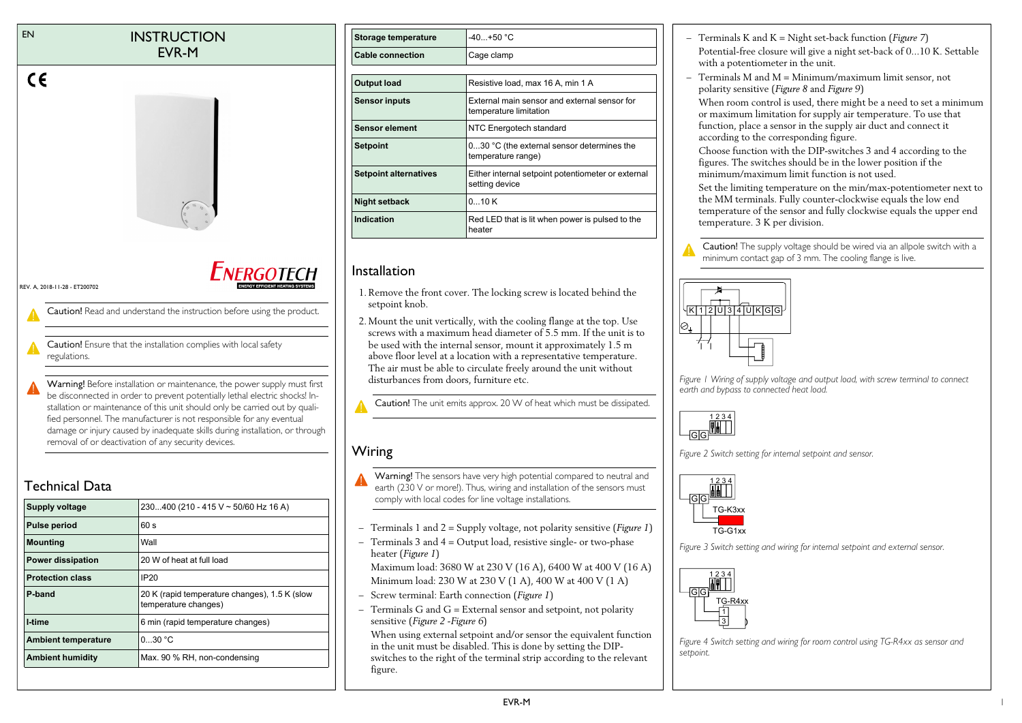#### EN **INSTRUCTION** EVR-M



REV. A, 2018-11-28 - ET200702

 $\epsilon$ 

Caution! Read and understand the instruction before using the product.

Caution! Ensure that the installation complies with local safety regulations.

Warning! Before installation or maintenance, the power supply must first be disconnected in order to prevent potentially lethal electric shocks! Installation or maintenance of this unit should only be carried out by qualified personnel. The manufacturer is not responsible for any eventual damage or injury caused by inadequate skills during installation, or through removal of or deactivation of any security devices.

# Technical Data

| <b>Supply voltage</b>      | 230400 (210 - 415 V ~ 50/60 Hz 16 A)                                  |
|----------------------------|-----------------------------------------------------------------------|
| <b>Pulse period</b>        | 60 s                                                                  |
| <b>Mounting</b>            | Wall                                                                  |
| <b>Power dissipation</b>   | 20 W of heat at full load                                             |
| <b>Protection class</b>    | IP20                                                                  |
| P-band                     | 20 K (rapid temperature changes), 1.5 K (slow<br>temperature changes) |
| I-time                     | 6 min (rapid temperature changes)                                     |
| <b>Ambient temperature</b> | 030 °C                                                                |
| <b>Ambient humidity</b>    | Max. 90 % RH, non-condensing                                          |

| <b>Storage temperature</b>   | $-40+50 °C$                                                            |
|------------------------------|------------------------------------------------------------------------|
| <b>Cable connection</b>      | Cage clamp                                                             |
|                              |                                                                        |
| <b>Output load</b>           | Resistive load, max 16 A, min 1 A                                      |
| <b>Sensor inputs</b>         | External main sensor and external sensor for<br>temperature limitation |
| <b>Sensor element</b>        | NTC Energotech standard                                                |
| <b>Setpoint</b>              | 030 °C (the external sensor determines the<br>temperature range)       |
| <b>Setpoint alternatives</b> | Either internal setpoint potentiometer or external<br>setting device   |
| <b>Night setback</b>         | 010K                                                                   |
| Indication                   | Red LED that is lit when power is pulsed to the<br>heater              |

## Installation

- 1. Remove the front cover. The locking screw is located behind the setpoint knob.
- 2. Mount the unit vertically, with the cooling flange at the top. Use screws with a maximum head diameter of 5.5 mm. If the unit is to be used with the internal sensor, mount it approximately 1.5 m above floor level at a location with a representative temperature. The air must be able to circulate freely around the unit without disturbances from doors, furniture etc.

Caution! The unit emits approx. 20 W of heat which must be dissipated.

# Wiring

- Warning! The sensors have very high potential compared to neutral and earth (230 V or more!). Thus, wiring and installation of the sensors must comply with local codes for line voltage installations.
- Terminals 1 and 2 = Supply voltage, not polarity sensitive (*[Figure 1](#page-0-0)*)
- Terminals 3 and 4 = Output load, resistive single- or two-phase heater (*[Figure 1](#page-0-0)*)

Maximum load: 3680 W at 230 V (16 A), 6400 W at 400 V (16 A) Minimum load: 230 W at 230 V (1 A), 400 W at 400 V (1 A)

- Screw terminal: Earth connection (*[Figure 1](#page-0-0)*)
- Terminals G and G = External sensor and setpoint, not polarity sensitive (*[Figure 2](#page-0-1)* -*[Figure 6](#page-1-0)*)

When using external setpoint and/or sensor the equivalent function in the unit must be disabled. This is done by setting the DIPswitches to the right of the terminal strip according to the relevant figure.

- Terminals K and K = Night set-back function (*[Figure 7](#page-1-1)*) Potential-free closure will give a night set-back of 0...10 K. Settable with a potentiometer in the unit.
- Terminals M and M = Minimum/maximum limit sensor, not polarity sensitive (*[Figure 8](#page-1-2)* and *[Figure 9](#page-1-3)*)

When room control is used, there might be a need to set a minimum or maximum limitation for supply air temperature. To use that function, place a sensor in the supply air duct and connect it according to the corresponding figure.

Choose function with the DIP-switches 3 and 4 according to the figures. The switches should be in the lower position if the minimum/maximum limit function is not used.

Set the limiting temperature on the min/max-potentiometer next to the MM terminals. Fully counter-clockwise equals the low end temperature of the sensor and fully clockwise equals the upper end temperature. 3 K per division.

Caution! The supply voltage should be wired via an allpole switch with a minimum contact gap of 3 mm. The cooling flange is live.



<span id="page-0-0"></span>*Figure 1 Wiring of supply voltage and output load, with screw terminal to connect earth and bypass to connected heat load.*



<span id="page-0-1"></span>*Figure 2 Switch setting for internal setpoint and sensor.*



*Figure 3 Switch setting and wiring for internal setpoint and external sensor.*



*Figure 4 Switch setting and wiring for room control using TG-R4xx as sensor and setpoint.*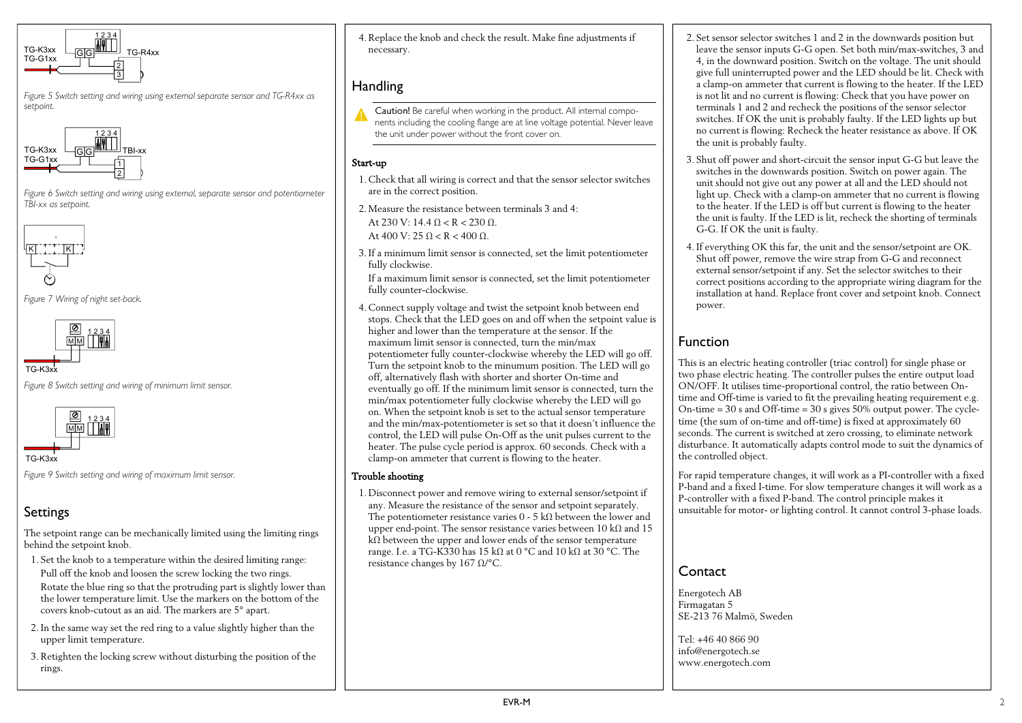

*Figure 5 Switch setting and wiring using external separate sensor and TG-R4xx as setpoint.*



<span id="page-1-0"></span>*Figure 6 Switch setting and wiring using external, separate sensor and potentiometer TBI-xx as setpoint.*



<span id="page-1-1"></span>*Figure 7 Wiring of night set-back.*



<span id="page-1-2"></span>*Figure 8 Switch setting and wiring of minimum limit sensor.*



TG-K3xx

<span id="page-1-3"></span>*Figure 9 Switch setting and wiring of maximum limit sensor.*

# Settings

The setpoint range can be mechanically limited using the limiting rings behind the setpoint knob.

- 1. Set the knob to a temperature within the desired limiting range: Pull off the knob and loosen the screw locking the two rings. Rotate the blue ring so that the protruding part is slightly lower than the lower temperature limit. Use the markers on the bottom of the covers knob-cutout as an aid. The markers are 5° apart.
- 2. In the same way set the red ring to a value slightly higher than the upper limit temperature.
- 3. Retighten the locking screw without disturbing the position of the rings.

4. Replace the knob and check the result. Make fine adjustments if necessary.

## **Handling**

Caution! Be careful when working in the product. All internal components including the cooling flange are at line voltage potential. Never leave the unit under power without the front cover on.

### Start-up

- 1. Check that all wiring is correct and that the sensor selector switches are in the correct position.
- 2. Measure the resistance between terminals 3 and 4: At 230 V: 14.4  $0 < R < 230$  Q. At 400 V: 25  $\Omega$  < R < 400  $\Omega$ .

3. If a minimum limit sensor is connected, set the limit potentiometer fully clockwise.

If a maximum limit sensor is connected, set the limit potentiometer fully counter-clockwise.

4. Connect supply voltage and twist the setpoint knob between end stops. Check that the LED goes on and off when the setpoint value is higher and lower than the temperature at the sensor. If the maximum limit sensor is connected, turn the min/max potentiometer fully counter-clockwise whereby the LED will go off. Turn the setpoint knob to the minumum position. The LED will go off, alternatively flash with shorter and shorter On-time and eventually go off. If the minimum limit sensor is connected, turn the min/max potentiometer fully clockwise whereby the LED will go on. When the setpoint knob is set to the actual sensor temperature and the min/max-potentiometer is set so that it doesn't influence the control, the LED will pulse On-Off as the unit pulses current to the heater. The pulse cycle period is approx. 60 seconds. Check with a clamp-on ammeter that current is flowing to the heater.

#### Trouble shooting

1. Disconnect power and remove wiring to external sensor/setpoint if any. Measure the resistance of the sensor and setpoint separately. The potentiometer resistance varies  $0$  - 5 kΩ between the lower and upper end-point. The sensor resistance varies between 10 kΩ and 15 kΩ between the upper and lower ends of the sensor temperature range. I.e. a TG-K330 has 15 kΩ at 0 °C and 10 kΩ at 30 °C. The resistance changes by 167 Ω/°C.

- 2. Set sensor selector switches 1 and 2 in the downwards position but leave the sensor inputs G-G open. Set both min/max-switches, 3 and 4, in the downward position. Switch on the voltage. The unit should give full uninterrupted power and the LED should be lit. Check with a clamp-on ammeter that current is flowing to the heater. If the LED is not lit and no current is flowing: Check that you have power on terminals 1 and 2 and recheck the positions of the sensor selector switches. If OK the unit is probably faulty. If the LED lights up but no current is flowing: Recheck the heater resistance as above. If OK the unit is probably faulty.
- 3. Shut off power and short-circuit the sensor input G-G but leave the switches in the downwards position. Switch on power again. The unit should not give out any power at all and the LED should not light up. Check with a clamp-on ammeter that no current is flowing to the heater. If the LED is off but current is flowing to the heater the unit is faulty. If the LED is lit, recheck the shorting of terminals G-G. If OK the unit is faulty.
- 4. If everything OK this far, the unit and the sensor/setpoint are OK. Shut off power, remove the wire strap from G-G and reconnect external sensor/setpoint if any. Set the selector switches to their correct positions according to the appropriate wiring diagram for the installation at hand. Replace front cover and setpoint knob. Connect power.

# Function

This is an electric heating controller (triac control) for single phase or two phase electric heating. The controller pulses the entire output load ON/OFF. It utilises time-proportional control, the ratio between Ontime and Off-time is varied to fit the prevailing heating requirement e.g. On-time  $= 30$  s and Off-time  $= 30$  s gives 50% output power. The cycletime (the sum of on-time and off-time) is fixed at approximately 60 seconds. The current is switched at zero crossing, to eliminate network disturbance. It automatically adapts control mode to suit the dynamics of the controlled object.

For rapid temperature changes, it will work as a PI-controller with a fixed P-band and a fixed I-time. For slow temperature changes it will work as a P-controller with a fixed P-band. The control principle makes it unsuitable for motor- or lighting control. It cannot control 3-phase loads.

# **Contact**

Energotech AB Firmagatan 5 SE-213 76 Malmö, Sweden

Tel: +46 40 866 90 info@energotech.se www.energotech.com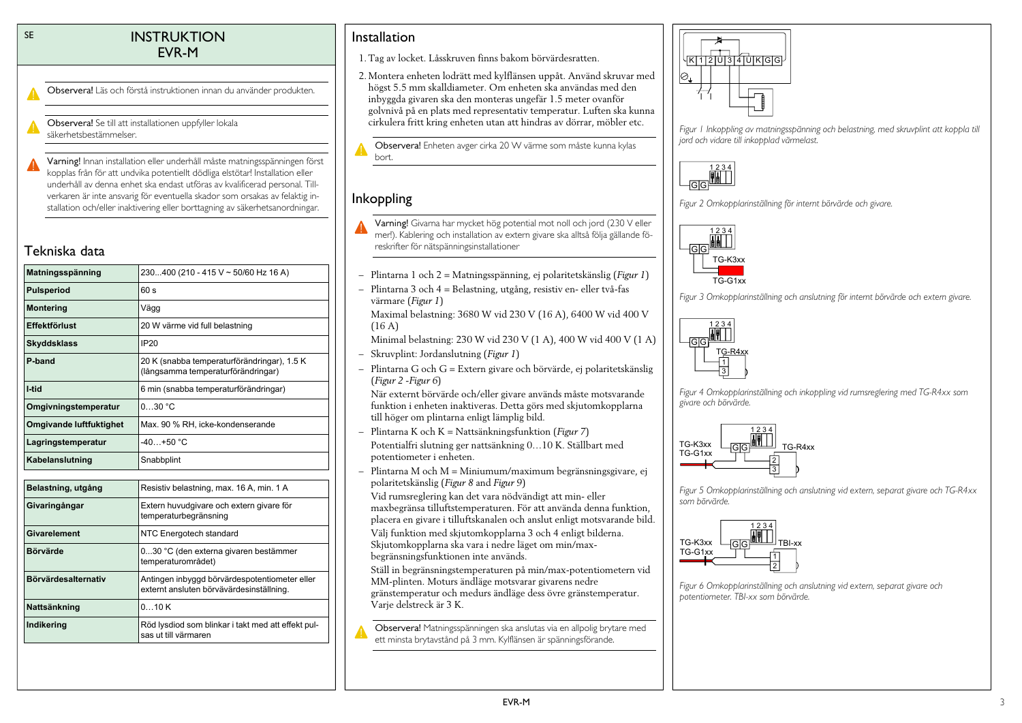### SE INSTRUKTION EVR-M

Observera! Läs och förstå instruktionen innan du använder produkten.

Observera! Se till att installationen uppfyller lokala säkerhetsbestämmelser.

Varning! Innan installation eller underhåll måste matningsspänningen först kopplas från för att undvika potentiellt dödliga elstötar! Installation eller underhåll av denna enhet ska endast utföras av kvalificerad personal. Tillverkaren är inte ansvarig för eventuella skador som orsakas av felaktig installation och/eller inaktivering eller borttagning av säkerhetsanordningar.

# Tekniska data

| 230400 (210 - 415 V ~ 50/60 Hz 16 A)                                                      |
|-------------------------------------------------------------------------------------------|
| 60 s                                                                                      |
| Vägg                                                                                      |
| 20 W värme vid full belastning                                                            |
| <b>IP20</b>                                                                               |
| 20 K (snabba temperaturförändringar), 1.5 K<br>(långsamma temperaturförändringar)         |
| 6 min (snabba temperaturförändringar)                                                     |
| 0.30 °C                                                                                   |
| Max. 90 % RH, icke-kondenserande                                                          |
| $-40+50 °C$                                                                               |
| Snabbplint                                                                                |
|                                                                                           |
| Resistiv belastning, max. 16 A, min. 1 A                                                  |
| Extern huvudgivare och extern givare för<br>temperaturbegränsning                         |
| NTC Energotech standard                                                                   |
| 030 °C (den externa givaren bestämmer<br>temperaturområdet)                               |
| Antingen inbyggd börvärdespotentiometer eller<br>externt ansluten börvävärdesinställning. |
| 010K                                                                                      |
| Röd lysdiod som blinkar i takt med att effekt pul-<br>sas ut till värmaren                |
|                                                                                           |

# Installation

- 1. Tag av locket. Låsskruven finns bakom börvärdesratten.
- 2. Montera enheten lodrätt med kylflänsen uppåt. Använd skruvar med högst 5.5 mm skalldiameter. Om enheten ska användas med den inbyggda givaren ska den monteras ungefär 1.5 meter ovanför golvnivå på en plats med representativ temperatur. Luften ska kunna cirkulera fritt kring enheten utan att hindras av dörrar, möbler etc.

Observera! Enheten avger cirka 20 W värme som måste kunna kylas bort.

# Inkoppling

- Varning! Givarna har mycket hög potential mot noll och jord (230 V eller mer!). Kablering och installation av extern givare ska alltså följa gällande föreskrifter för nätspänningsinstallationer
- Plintarna 1 och 2 = Matningsspänning, ej polaritetskänslig (*[Figur 1](#page-2-0)*)
- Plintarna 3 och 4 = Belastning, utgång, resistiv en- eller två-fas värmare (*[Figur 1](#page-2-0)*)

Maximal belastning: 3680 W vid 230 V (16 A), 6400 W vid 400 V (16 A)

Minimal belastning: 230 W vid 230 V (1 A), 400 W vid 400 V (1 A)

- Skruvplint: Jordanslutning (*[Figur 1](#page-2-0)*)
- Plintarna G och G = Extern givare och börvärde, ej polaritetskänslig (*[Figur 2](#page-2-1)* -*[Figur 6](#page-2-2)*)

När externt börvärde och/eller givare används måste motsvarande funktion i enheten inaktiveras. Detta görs med skjutomkopplarna till höger om plintarna enligt lämplig bild.

- Plintarna K och K = Nattsänkningsfunktion (*[Figur 7](#page-3-0)*) Potentialfri slutning ger nattsänkning 0…10 K. Ställbart med potentiometer i enheten.
- Plintarna M och M = Miniumum/maximum begränsningsgivare, ej polaritetskänslig (*[Figur 8](#page-3-1)* and *[Figur 9](#page-3-2)*)

Vid rumsreglering kan det vara nödvändigt att min- eller maxbegränsa tilluftstemperaturen. För att använda denna funktion, placera en givare i tilluftskanalen och anslut enligt motsvarande bild. Välj funktion med skjutomkopplarna 3 och 4 enligt bilderna.

Skjutomkopplarna ska vara i nedre läget om min/maxbegränsningsfunktionen inte används.

Ställ in begränsningstemperaturen på min/max-potentiometern vid MM-plinten. Moturs ändläge motsvarar givarens nedre gränstemperatur och medurs ändläge dess övre gränstemperatur. Varje delstreck är 3 K.

Observera! Matningsspänningen ska anslutas via en allpolig brytare med ett minsta brytavstånd på 3 mm. Kylflänsen är spänningsförande.



<span id="page-2-0"></span>*Figur 1 Inkoppling av matningsspänning och belastning, med skruvplint att koppla till jord och vidare till inkopplad värmelast.*



<span id="page-2-1"></span>



*Figur 3 Omkopplarinställning och anslutning för internt börvärde och extern givare.*



*Figur 4 Omkopplarinställning och inkoppling vid rumsreglering med TG-R4xx som givare och börvärde.*



*Figur 5 Omkopplarinställning och anslutning vid extern, separat givare och TG-R4xx som börvärde.*



<span id="page-2-2"></span>*Figur 6 Omkopplarinställning och anslutning vid extern, separat givare och potentiometer. TBI-xx som börvärde.*